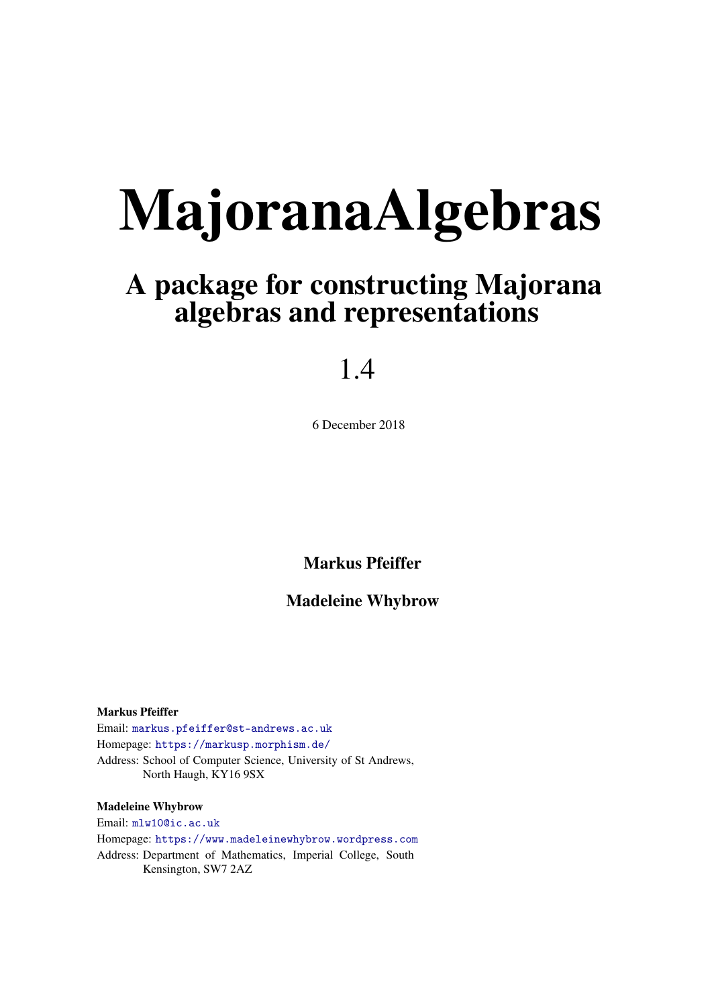# MajoranaAlgebras

# A package for constructing Majorana algebras and representations

# 1.4

6 December 2018

Markus Pfeiffer

### Madeleine Whybrow

Markus Pfeiffer Email: [markus.pfeiffer@st-andrews.ac.uk](mailto://markus.pfeiffer@st-andrews.ac.uk) Homepage: <https://markusp.morphism.de/> Address: School of Computer Science, University of St Andrews, North Haugh, KY16 9SX

### Madeleine Whybrow

Email: [mlw10@ic.ac.uk](mailto://mlw10@ic.ac.uk) Homepage: <https://www.madeleinewhybrow.wordpress.com> Address: Department of Mathematics, Imperial College, South Kensington, SW7 2AZ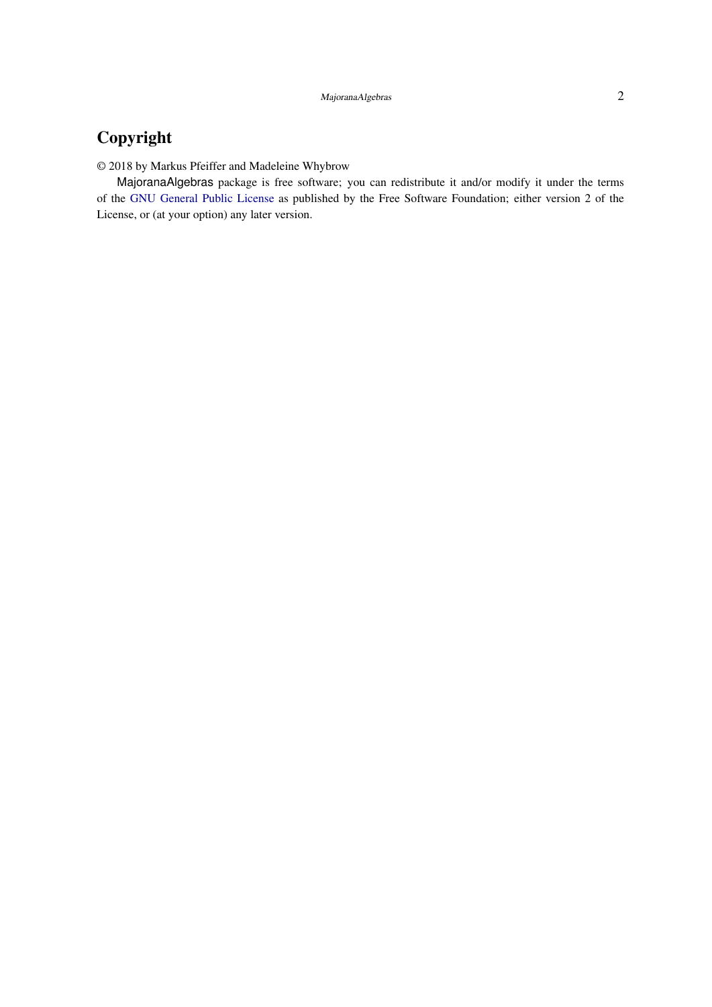### Copyright

© 2018 by Markus Pfeiffer and Madeleine Whybrow

MajoranaAlgebras package is free software; you can redistribute it and/or modify it under the terms of the [GNU General Public License](http://www.fsf.org/licenses/gpl.html) as published by the Free Software Foundation; either version 2 of the License, or (at your option) any later version.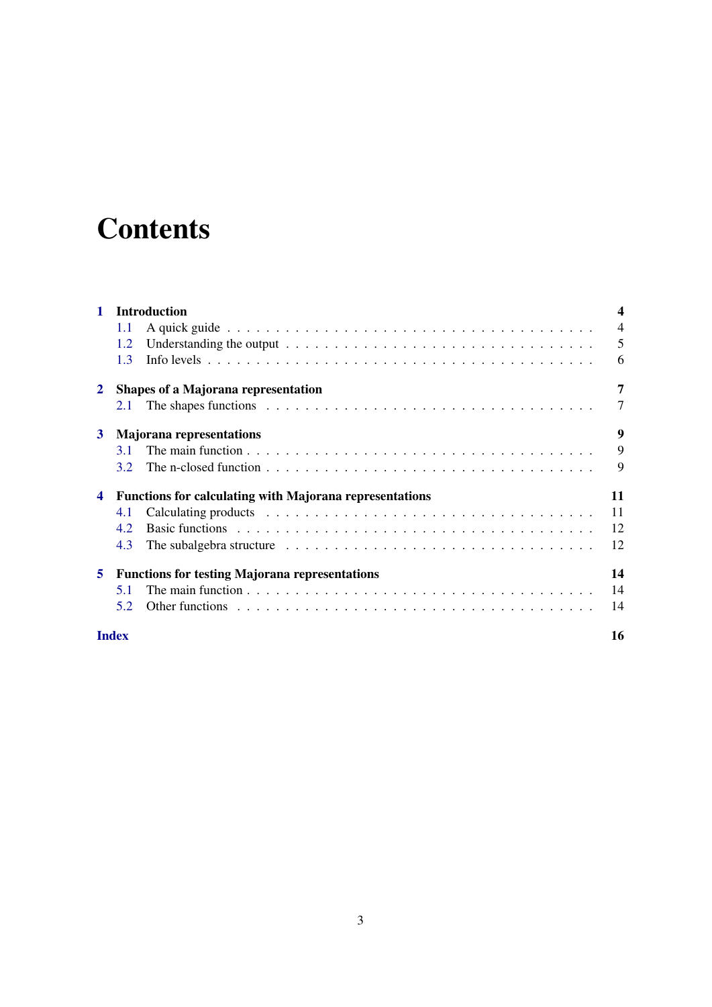# **Contents**

| 1                       | <b>Introduction</b>                                                                                                   |                |
|-------------------------|-----------------------------------------------------------------------------------------------------------------------|----------------|
|                         | 1.1                                                                                                                   | $\overline{4}$ |
|                         | 1.2                                                                                                                   | 5              |
|                         | 13                                                                                                                    | 6              |
| $\mathbf{2}$            | Shapes of a Majorana representation                                                                                   | 7              |
|                         | 2.1                                                                                                                   | 7              |
| 3                       | <b>Majorana representations</b>                                                                                       | 9              |
|                         | 3.1                                                                                                                   | 9              |
|                         | 3.2                                                                                                                   | 9              |
| $\overline{\mathbf{4}}$ | <b>Functions for calculating with Majorana representations</b>                                                        | 11             |
|                         | 4.1                                                                                                                   | 11             |
|                         | 4.2                                                                                                                   | 12             |
|                         | 4.3<br>The subalgebra structure $\dots \dots \dots \dots \dots \dots \dots \dots \dots \dots \dots \dots \dots \dots$ | 12             |
| 5                       | <b>Functions for testing Majorana representations</b>                                                                 | 14             |
|                         | 5.1                                                                                                                   | 14             |
|                         | 5.2                                                                                                                   | 14             |
| <b>Index</b>            |                                                                                                                       | 16             |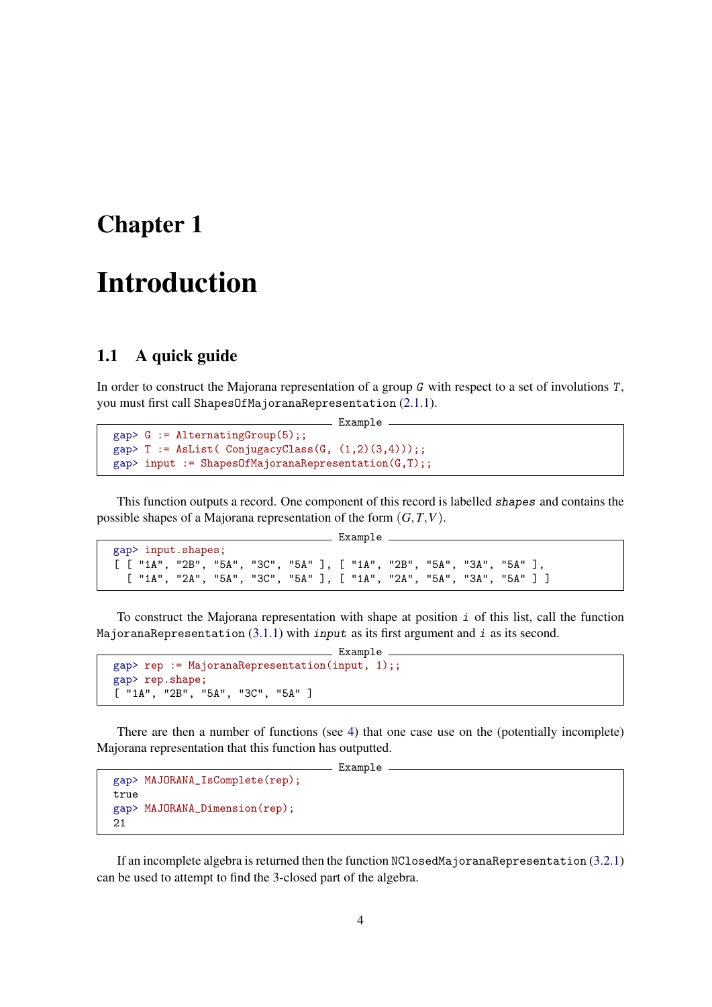## <span id="page-3-0"></span>Introduction

### <span id="page-3-1"></span>1.1 A quick guide

In order to construct the Majorana representation of a group G with respect to a set of involutions T, you must first call ShapesOfMajoranaRepresentation [\(2.1.1\)](#page-6-2).

Example

```
gap > G := AlternatingGroup(5);gap> T := AsList(ConjugacyClass(G, (1,2)(3,4));
gap> input := ShapesOfMajoranaRepresentation(G,T);;
```
This function outputs a record. One component of this record is labelled shapes and contains the possible shapes of a Majorana representation of the form (*G*,*T*,*V*).

```
Example
gap> input.shapes;
[ [ "1A", "2B", "5A", "3C", "5A" ], [ "1A", "2B", "5A", "3A", "5A" ],
 [ "1A", "2A", "5A", "3C", "5A" ], [ "1A", "2A", "5A", "3A", "5A" ] ]
```
To construct the Majorana representation with shape at position  $\vec{i}$  of this list, call the function MajoranaRepresentation  $(3.1.1)$  with input as its first argument and i as its second.

```
Example
gap> rep := MajoranaRepresentation(input, 1);;
gap> rep.shape;
[ "1A", "2B", "5A", "3C", "5A" ]
```
There are then a number of functions (see [4\)](#page-10-0) that one case use on the (potentially incomplete) Majorana representation that this function has outputted.

\_ Example

```
gap> MAJORANA_IsComplete(rep);
true
gap> MAJORANA_Dimension(rep);
21
```
If an incomplete algebra is returned then the function NClosedMajoranaRepresentation [\(3.2.1\)](#page-9-0) can be used to attempt to find the 3-closed part of the algebra.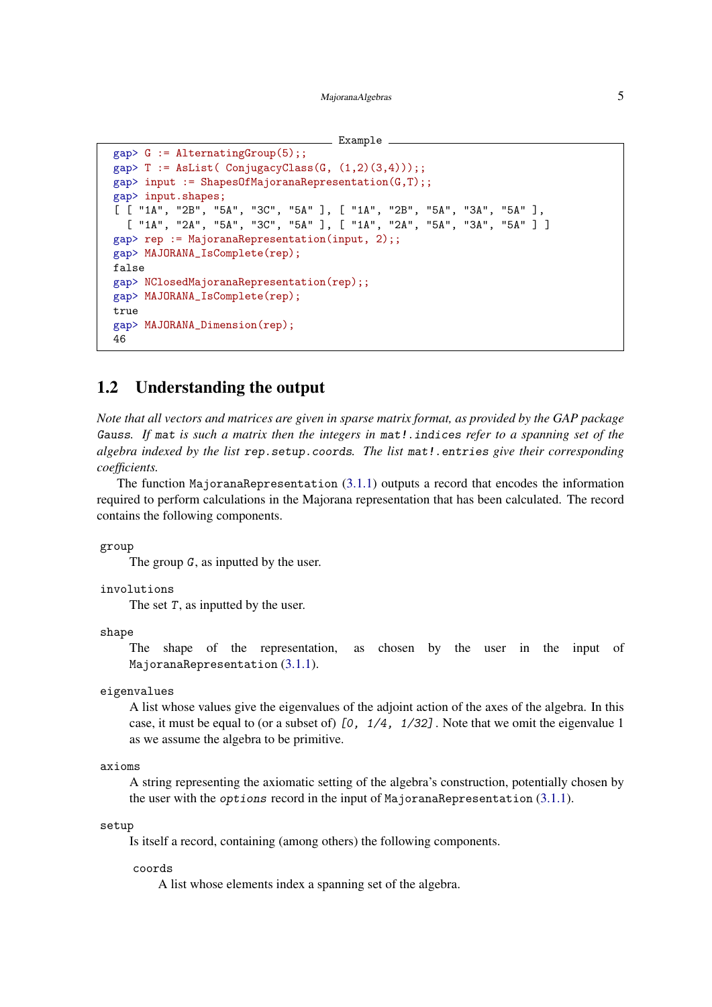MajoranaAlgebras 5

```
Example
```

```
gap > G := AlternatingGroup(5);;
gap> T := AsList( ConjugacyClass(G, (1,2)(3,4));
gap input := ShapesOfMajoranaRepresentation(G,T);;
gap> input.shapes;
[ [ "1A", "2B", "5A", "3C", "5A" ], [ "1A", "2B", "5A", "3A", "5A" ],
  [ "1A", "2A", "5A", "3C", "5A" ], [ "1A", "2A", "5A", "3A", "5A" ] ]
gap> rep := MajoranaRepresentation(input, 2);;
gap> MAJORANA_IsComplete(rep);
false
gap> NClosedMajoranaRepresentation(rep);;
gap> MAJORANA_IsComplete(rep);
true
gap> MAJORANA_Dimension(rep);
46
```
### <span id="page-4-0"></span>1.2 Understanding the output

*Note that all vectors and matrices are given in sparse matrix format, as provided by the GAP package* Gauss*. If* mat *is such a matrix then the integers in* mat!.indices *refer to a spanning set of the algebra indexed by the list* rep.setup.coords*. The list* mat!.entries *give their corresponding coefficients.*

The function MajoranaRepresentation  $(3.1.1)$  outputs a record that encodes the information required to perform calculations in the Majorana representation that has been calculated. The record contains the following components.

group

The group G, as inputted by the user.

involutions

The set  $T$ , as inputted by the user.

shape

The shape of the representation, as chosen by the user in the input of MajoranaRepresentation [\(3.1.1\)](#page-8-3).

eigenvalues

A list whose values give the eigenvalues of the adjoint action of the axes of the algebra. In this case, it must be equal to (or a subset of) [0, 1/4, 1/32]. Note that we omit the eigenvalue 1 as we assume the algebra to be primitive.

```
axioms
```
A string representing the axiomatic setting of the algebra's construction, potentially chosen by the user with the options record in the input of MajoranaRepresentation [\(3.1.1\)](#page-8-3).

setup

Is itself a record, containing (among others) the following components.

coords

A list whose elements index a spanning set of the algebra.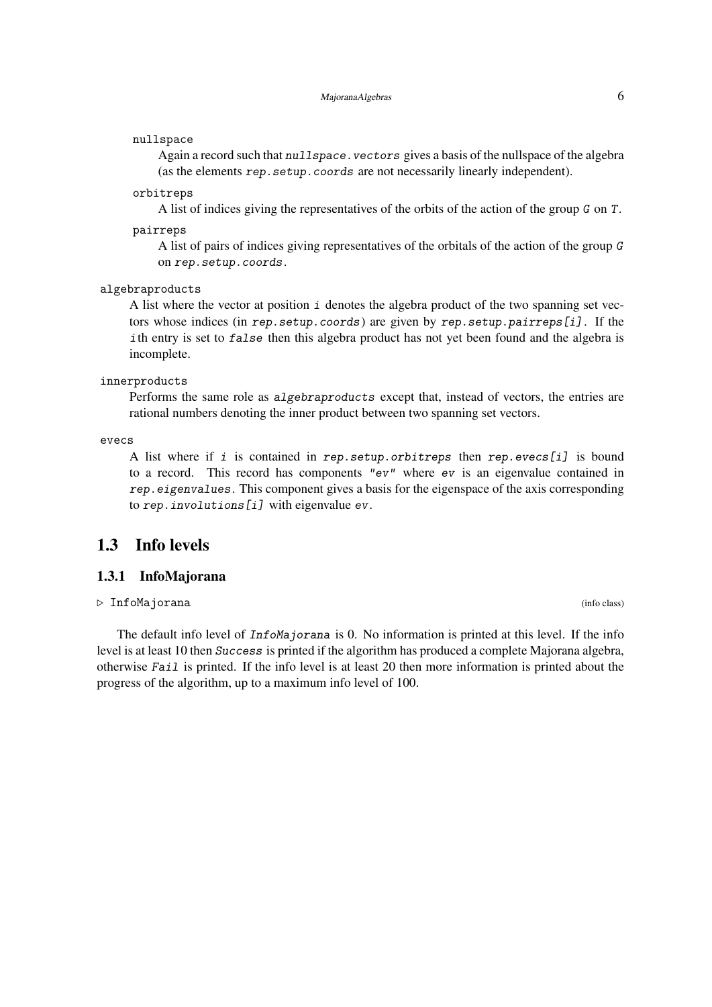#### <span id="page-5-1"></span>nullspace

Again a record such that nullspace. vectors gives a basis of the nullspace of the algebra (as the elements rep. setup. coords are not necessarily linearly independent).

### orbitreps

A list of indices giving the representatives of the orbits of the action of the group G on T.

### pairreps

A list of pairs of indices giving representatives of the orbitals of the action of the group G on rep.setup.coords.

### algebraproducts

A list where the vector at position i denotes the algebra product of the two spanning set vectors whose indices (in rep.setup.coords) are given by rep.setup.pairreps[i] . If the ith entry is set to false then this algebra product has not yet been found and the algebra is incomplete.

#### innerproducts

Performs the same role as algebraproducts except that, instead of vectors, the entries are rational numbers denoting the inner product between two spanning set vectors.

evecs

A list where if i is contained in rep.setup.orbitreps then rep.evecs[i] is bound to a record. This record has components "ev" where ev is an eigenvalue contained in rep.eigenvalues. This component gives a basis for the eigenspace of the axis corresponding to rep.involutions[i] with eigenvalue ev.

### <span id="page-5-0"></span>1.3 Info levels

### 1.3.1 InfoMajorana

### . InfoMajorana (info class)

The default info level of *InfoMajorana* is 0. No information is printed at this level. If the info level is at least 10 then Success is printed if the algorithm has produced a complete Majorana algebra, otherwise Fail is printed. If the info level is at least 20 then more information is printed about the progress of the algorithm, up to a maximum info level of 100.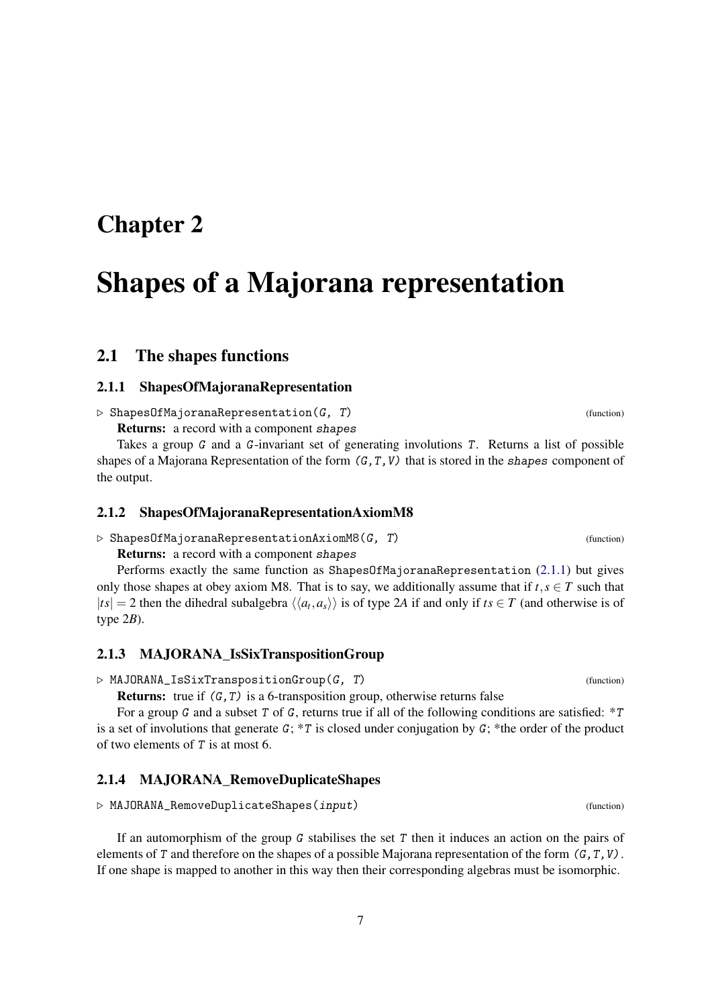# <span id="page-6-4"></span><span id="page-6-0"></span>Shapes of a Majorana representation

### <span id="page-6-1"></span>2.1 The shapes functions

### <span id="page-6-2"></span>2.1.1 ShapesOfMajoranaRepresentation

 $\triangleright$  ShapesOfMajoranaRepresentation(G, T) (function) Returns: a record with a component shapes

Takes a group G and a G-invariant set of generating involutions T. Returns a list of possible shapes of a Majorana Representation of the form  $(G, T, V)$  that is stored in the shapes component of the output.

### <span id="page-6-3"></span>2.1.2 ShapesOfMajoranaRepresentationAxiomM8

 $\triangleright$  ShapesOfMajoranaRepresentationAxiomM8(G, T) (function)

Returns: a record with a component shapes

Performs exactly the same function as ShapesOfMajoranaRepresentation [\(2.1.1\)](#page-6-2) but gives only those shapes at obey axiom M8. That is to say, we additionally assume that if  $t, s \in T$  such that  $|ts| = 2$  then the dihedral subalgebra  $\langle \langle a_t, a_s \rangle \rangle$  is of type 2*A* if and only if  $ts \in T$  (and otherwise is of type 2*B*).

### 2.1.3 MAJORANA\_IsSixTranspositionGroup

 $\triangleright$  MAJORANA\_IsSixTranspositionGroup(G, T) (function)

**Returns:** true if  $(G, T)$  is a 6-transposition group, otherwise returns false

For a group G and a subset T of G, returns true if all of the following conditions are satisfied:  $*T$ is a set of involutions that generate G;  $*T$  is closed under conjugation by G; \*the order of the product of two elements of T is at most 6.

### 2.1.4 MAJORANA\_RemoveDuplicateShapes

 $\triangleright$  MAJORANA\_RemoveDuplicateShapes(input) (function)

If an automorphism of the group G stabilises the set T then it induces an action on the pairs of elements of T and therefore on the shapes of a possible Majorana representation of the form  $(G, T, V)$ . If one shape is mapped to another in this way then their corresponding algebras must be isomorphic.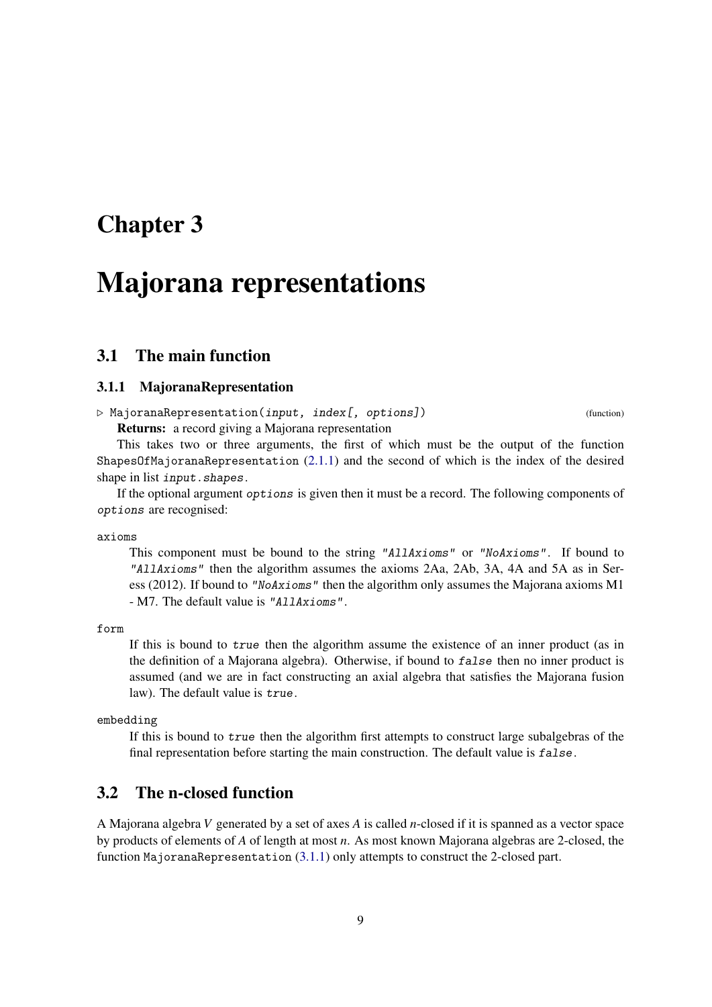# <span id="page-8-4"></span><span id="page-8-0"></span>Majorana representations

### <span id="page-8-1"></span>3.1 The main function

### <span id="page-8-3"></span>3.1.1 MajoranaRepresentation

 $\triangleright$  MajoranaRepresentation(input, index[, options]) (function) Returns: a record giving a Majorana representation

This takes two or three arguments, the first of which must be the output of the function ShapesOfMajoranaRepresentation [\(2.1.1\)](#page-6-2) and the second of which is the index of the desired shape in list *input*.shapes.

If the optional argument options is given then it must be a record. The following components of options are recognised:

axioms

This component must be bound to the string "AllAxioms" or "NoAxioms". If bound to "AllAxioms" then the algorithm assumes the axioms 2Aa, 2Ab, 3A, 4A and 5A as in Seress (2012). If bound to "NoAxioms" then the algorithm only assumes the Majorana axioms M1 - M7. The default value is "AllAxioms".

form

If this is bound to true then the algorithm assume the existence of an inner product (as in the definition of a Majorana algebra). Otherwise, if bound to false then no inner product is assumed (and we are in fact constructing an axial algebra that satisfies the Majorana fusion law). The default value is true.

embedding

If this is bound to true then the algorithm first attempts to construct large subalgebras of the final representation before starting the main construction. The default value is false.

### <span id="page-8-2"></span>3.2 The n-closed function

A Majorana algebra *V* generated by a set of axes *A* is called *n*-closed if it is spanned as a vector space by products of elements of *A* of length at most *n*. As most known Majorana algebras are 2-closed, the function MajoranaRepresentation [\(3.1.1\)](#page-8-3) only attempts to construct the 2-closed part.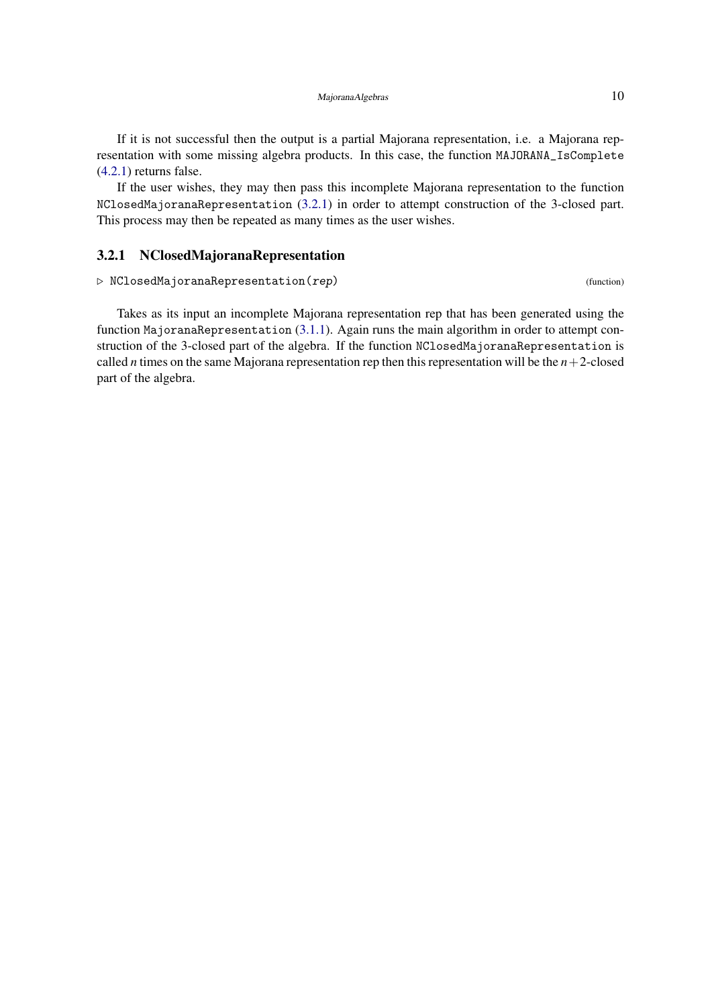<span id="page-9-1"></span>If it is not successful then the output is a partial Majorana representation, i.e. a Majorana representation with some missing algebra products. In this case, the function MAJORANA\_IsComplete [\(4.2.1\)](#page-11-2) returns false.

If the user wishes, they may then pass this incomplete Majorana representation to the function NClosedMajoranaRepresentation [\(3.2.1\)](#page-9-0) in order to attempt construction of the 3-closed part. This process may then be repeated as many times as the user wishes.

### <span id="page-9-0"></span>3.2.1 NClosedMajoranaRepresentation

 $\triangleright$  NClosedMajoranaRepresentation(rep) (function)

Takes as its input an incomplete Majorana representation rep that has been generated using the function MajoranaRepresentation [\(3.1.1\)](#page-8-3). Again runs the main algorithm in order to attempt construction of the 3-closed part of the algebra. If the function NClosedMajoranaRepresentation is called *n* times on the same Majorana representation rep then this representation will be the  $n+2$ -closed part of the algebra.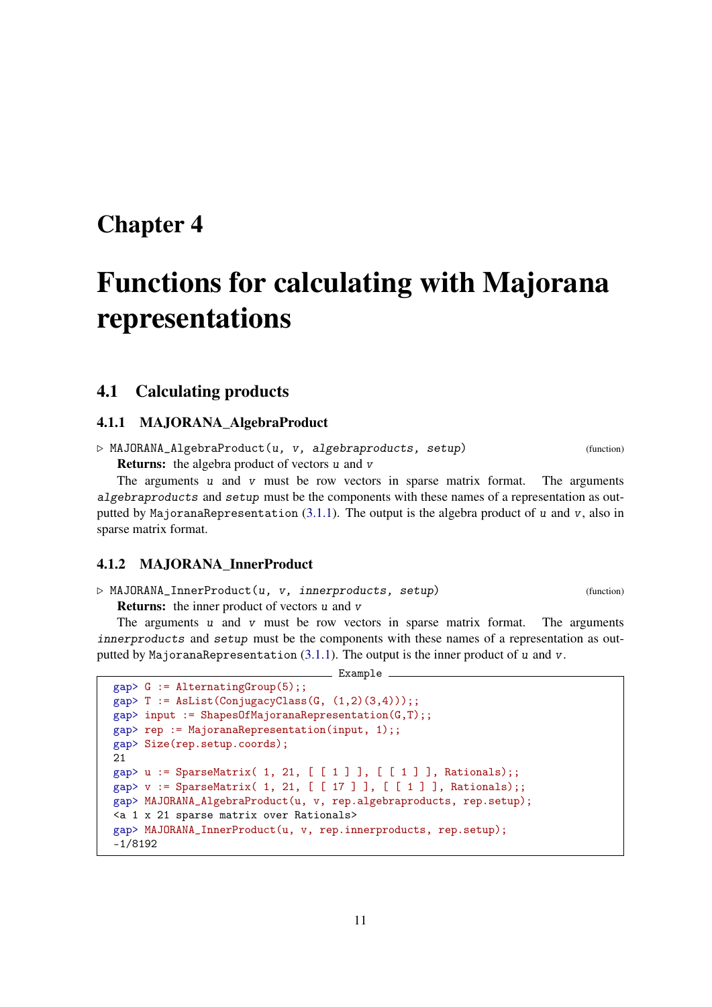# <span id="page-10-2"></span><span id="page-10-0"></span>Functions for calculating with Majorana representations

### <span id="page-10-1"></span>4.1 Calculating products

#### 4.1.1 MAJORANA\_AlgebraProduct

 $\triangleright$  MAJORANA\_AlgebraProduct(u, v, algebraproducts, setup) (function)

**Returns:** the algebra product of vectors u and v

The arguments  $u$  and  $v$  must be row vectors in sparse matrix format. The arguments algebraproducts and setup must be the components with these names of a representation as outputted by MajoranaRepresentation  $(3.1.1)$ . The output is the algebra product of u and v, also in sparse matrix format.

### 4.1.2 MAJORANA\_InnerProduct

 $\triangleright$  MAJORANA\_InnerProduct(u, v, innerproducts, setup) (function)

Returns: the inner product of vectors u and v

The arguments  $u$  and  $v$  must be row vectors in sparse matrix format. The arguments innerproducts and setup must be the components with these names of a representation as outputted by MajoranaRepresentation  $(3.1.1)$ . The output is the inner product of u and v.

Example

```
gap > G := AlternatingGroup(5);gap> T := AsList(ConjugacyClass(G, (1,2)(3,4)));;
gap> input := ShapesOfMajoranaRepresentation(G,T);;
gap> rep := MajoranaRepresentation(input, 1);;
gap> Size(rep.setup.coords);
21
gap> u := SparseMatrix( 1, 21, [ [ 1 ] ], [ [ 1 ] ], Rationals);;
gap> v := SparseMatrix( 1, 21, [ [ 17 ] ], [ [ 1 ] ], Rationals);;
gap> MAJORANA_AlgebraProduct(u, v, rep.algebraproducts, rep.setup);
<a 1 x 21 sparse matrix over Rationals>
gap> MAJORANA_InnerProduct(u, v, rep.innerproducts, rep.setup);
-1/8192
```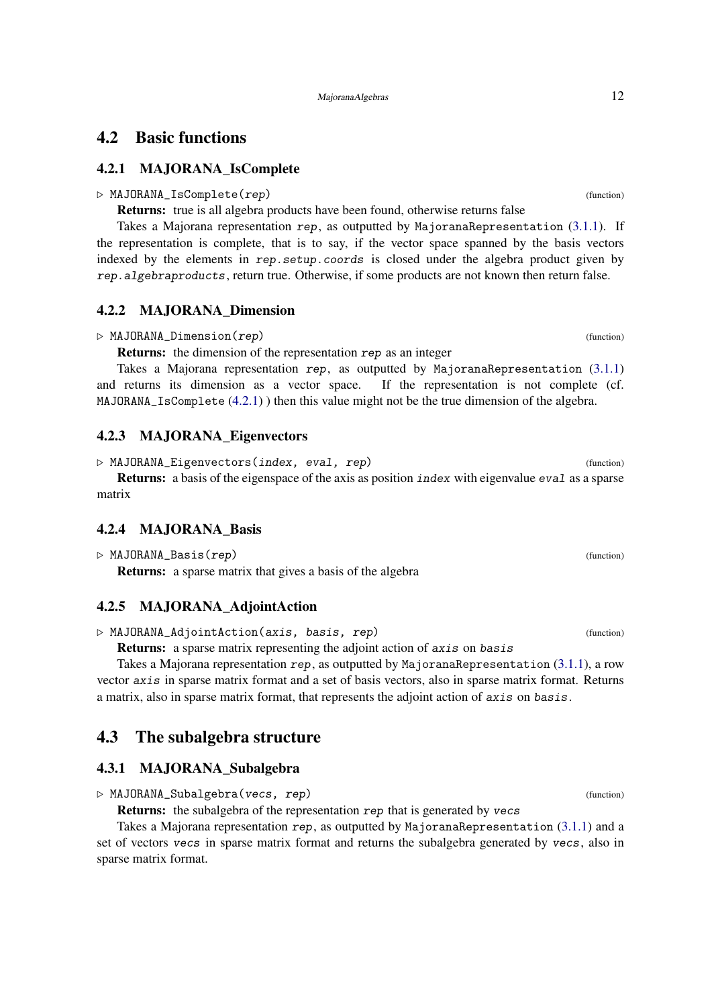### <span id="page-11-3"></span><span id="page-11-0"></span>4.2 Basic functions

### <span id="page-11-2"></span>4.2.1 MAJORANA\_IsComplete

#### $\triangleright$  MAJORANA IsComplete(rep) (function)

Returns: true is all algebra products have been found, otherwise returns false

Takes a Majorana representation rep, as outputted by MajoranaRepresentation [\(3.1.1\)](#page-8-3). If the representation is complete, that is to say, if the vector space spanned by the basis vectors indexed by the elements in rep. setup. coords is closed under the algebra product given by rep.algebraproducts, return true. Otherwise, if some products are not known then return false.

### 4.2.2 MAJORANA\_Dimension

#### $\triangleright$  MAJORANA\_Dimension(*rep*) (function)

Returns: the dimension of the representation rep as an integer

Takes a Majorana representation rep, as outputted by MajoranaRepresentation  $(3.1.1)$ and returns its dimension as a vector space. If the representation is not complete (cf. MAJORANA\_IsComplete [\(4.2.1\)](#page-11-2) ) then this value might not be the true dimension of the algebra.

#### 4.2.3 MAJORANA\_Eigenvectors

 $\triangleright$  MAJORANA\_Eigenvectors(index, eval, rep) (function) Returns: a basis of the eigenspace of the axis as position index with eigenvalue eval as a sparse matrix

### 4.2.4 MAJORANA\_Basis

```
\triangleright MAJORANA_Basis(rep) (function) (function)
```
Returns: a sparse matrix that gives a basis of the algebra

### 4.2.5 MAJORANA\_AdjointAction

 $\triangleright$  MAJORANA\_AdjointAction(axis, basis, rep) (function)

Returns: a sparse matrix representing the adjoint action of axis on basis

Takes a Majorana representation rep, as outputted by MajoranaRepresentation [\(3.1.1\)](#page-8-3), a row vector axis in sparse matrix format and a set of basis vectors, also in sparse matrix format. Returns a matrix, also in sparse matrix format, that represents the adjoint action of axis on basis.

### <span id="page-11-1"></span>4.3 The subalgebra structure

### 4.3.1 MAJORANA\_Subalgebra

 $\triangleright$  MAJORANA\_Subalgebra(vecs, rep) (function)

Returns: the subalgebra of the representation rep that is generated by vecs

Takes a Majorana representation rep, as outputted by MajoranaRepresentation [\(3.1.1\)](#page-8-3) and a set of vectors vecs in sparse matrix format and returns the subalgebra generated by vecs, also in sparse matrix format.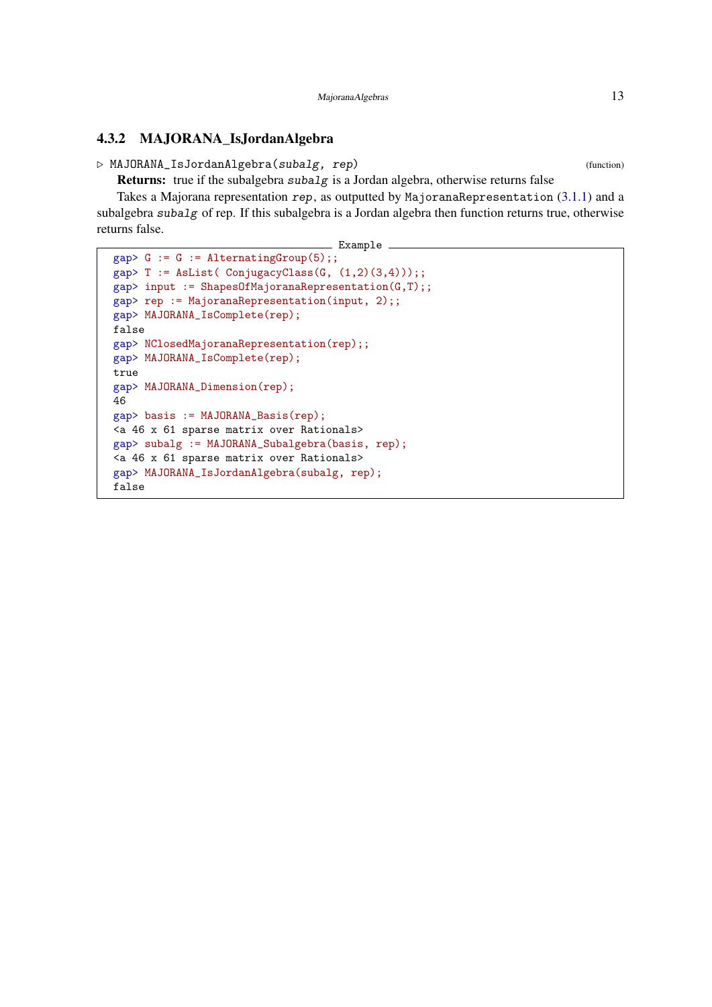### <span id="page-12-0"></span>4.3.2 MAJORANA\_IsJordanAlgebra

 $\triangleright$  MAJORANA\_IsJordanAlgebra(subalg, rep) (function)

**Returns:** true if the subalgebra  $subalg$  is a Jordan algebra, otherwise returns false

Takes a Majorana representation rep, as outputted by MajoranaRepresentation [\(3.1.1\)](#page-8-3) and a subalgebra subalg of rep. If this subalgebra is a Jordan algebra then function returns true, otherwise returns false.

Example

```
gap > G := G := AlternativeGroup(5);gap> T := AsList( ConjugacyClass(G, (1,2)(3,4));;
gap> input := ShapesOfMajoranaRepresentation(G,T);;
gap> rep := MajoranaRepresentation(input, 2);;
gap> MAJORANA_IsComplete(rep);
false
gap> NClosedMajoranaRepresentation(rep);;
gap> MAJORANA_IsComplete(rep);
true
gap> MAJORANA_Dimension(rep);
46
gap> basis := MAJORANA_Basis(rep);
<a 46 x 61 sparse matrix over Rationals>
gap> subalg := MAJORANA_Subalgebra(basis, rep);
<a 46 x 61 sparse matrix over Rationals>
gap> MAJORANA_IsJordanAlgebra(subalg, rep);
false
```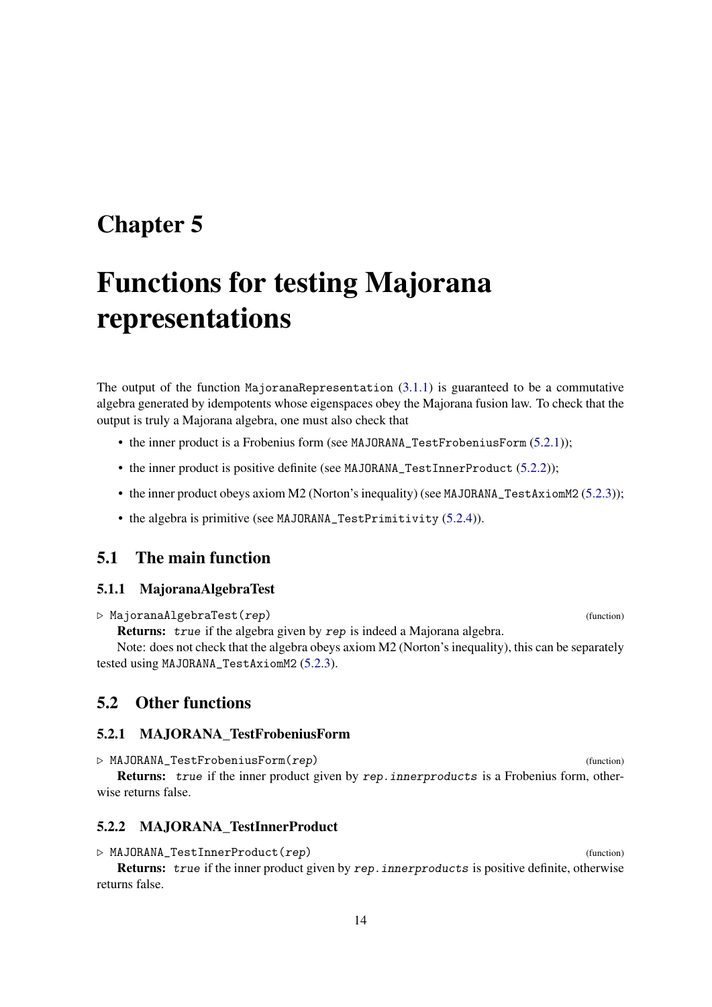# <span id="page-13-5"></span><span id="page-13-0"></span>Functions for testing Majorana representations

The output of the function MajoranaRepresentation  $(3.1.1)$  is guaranteed to be a commutative algebra generated by idempotents whose eigenspaces obey the Majorana fusion law. To check that the output is truly a Majorana algebra, one must also check that

- the inner product is a Frobenius form (see MAJORANA\_TestFrobeniusForm [\(5.2.1\)](#page-13-3));
- the inner product is positive definite (see MAJORANA\_TestInnerProduct [\(5.2.2\)](#page-13-4));
- the inner product obeys axiom M2 (Norton's inequality) (see MAJORANA\_TestAxiomM2 [\(5.2.3\)](#page-14-0));
- the algebra is primitive (see MAJORANA\_TestPrimitivity [\(5.2.4\)](#page-14-1)).

### <span id="page-13-1"></span>5.1 The main function

### 5.1.1 MajoranaAlgebraTest

. MajoranaAlgebraTest(rep) (function)

Returns: true if the algebra given by rep is indeed a Majorana algebra.

Note: does not check that the algebra obeys axiom M2 (Norton's inequality), this can be separately tested using MAJORANA\_TestAxiomM2 [\(5.2.3\)](#page-14-0).

### <span id="page-13-2"></span>5.2 Other functions

#### <span id="page-13-3"></span>5.2.1 MAJORANA\_TestFrobeniusForm

 $\triangleright$  MAJORANA\_TestFrobeniusForm(rep) (function) Returns: true if the inner product given by rep. innerproducts is a Frobenius form, otherwise returns false.

### <span id="page-13-4"></span>5.2.2 MAJORANA\_TestInnerProduct

 $\triangleright$  MAJORANA\_TestInnerProduct(*rep*) (function) Returns: true if the inner product given by rep. innerproducts is positive definite, otherwise returns false.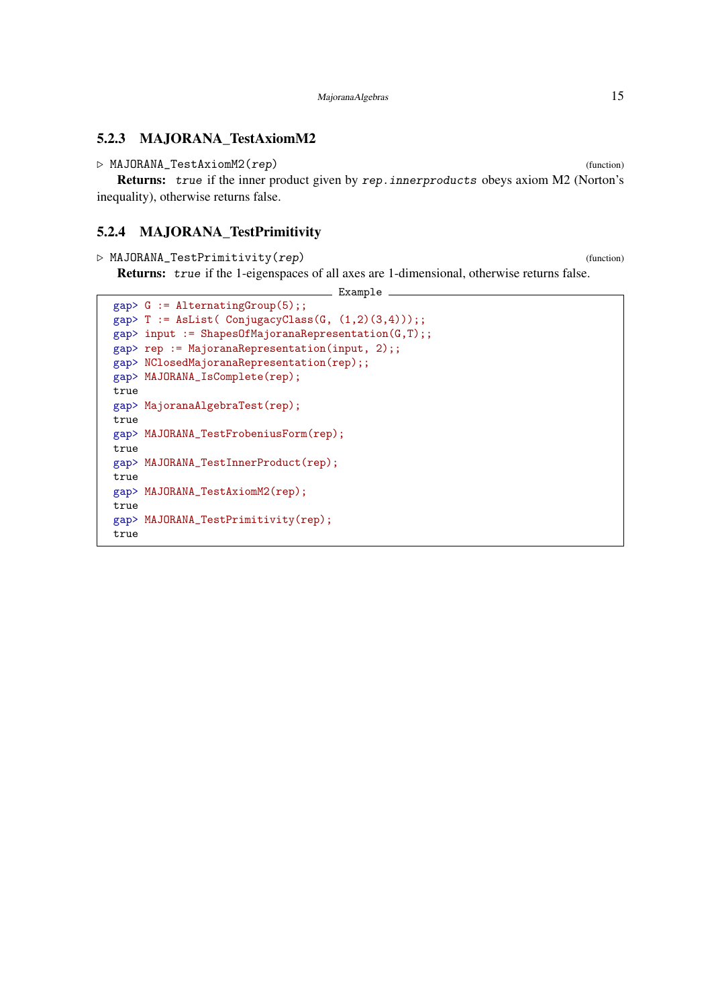### <span id="page-14-2"></span><span id="page-14-0"></span>5.2.3 MAJORANA\_TestAxiomM2

```
\triangleright MAJORANA_TestAxiomM2(rep) (function) (function)
```
Returns: true if the inner product given by rep. innerproducts obeys axiom M2 (Norton's inequality), otherwise returns false.

### <span id="page-14-1"></span>5.2.4 MAJORANA\_TestPrimitivity

 $\triangleright$  MAJORANA\_TestPrimitivity(*rep*) (function)

Returns: true if the 1-eigenspaces of all axes are 1-dimensional, otherwise returns false.

```
\_ Example \_gap> G := AlternatingGroup(5);;
gap> T := AsList( ConjugacyClass(G, (1,2)(3,4)));;
gap input := ShapesOfMajoranaRepresentation(G,T);;
gap> rep := MajoranaRepresentation(input, 2);;
gap> NClosedMajoranaRepresentation(rep);;
gap> MAJORANA_IsComplete(rep);
true
gap> MajoranaAlgebraTest(rep);
true
gap> MAJORANA_TestFrobeniusForm(rep);
true
gap> MAJORANA_TestInnerProduct(rep);
true
gap> MAJORANA_TestAxiomM2(rep);
true
gap> MAJORANA_TestPrimitivity(rep);
true
```